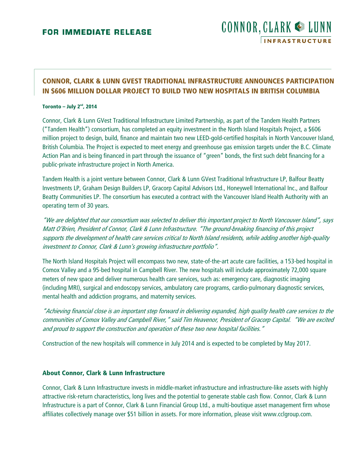# CONNOR, CLARK & LUNN **INFRASTRUCTURE**

## **CONNOR, CLARK & LUNN GVEST TRADITIONAL INFRASTRUCTURE ANNOUNCES PARTICIPATION IN \$606 MILLION DOLLAR PROJECT TO BUILD TWO NEW HOSPITALS IN BRITISH COLUMBIA**

#### **Toronto – July 2<sup>nd</sup>, 2014**

Connor, Clark & Lunn GVest Traditional Infrastructure Limited Partnership, as part of the Tandem Health Partners ("Tandem Health") consortium, has completed an equity investment in the North Island Hospitals Project, a \$606 million project to design, build, finance and maintain two new LEED-gold-certified hospitals in North Vancouver Island, British Columbia. The Project is expected to meet energy and greenhouse gas emission targets under the B.C. Climate Action Plan and is being financed in part through the issuance of "green" bonds, the first such debt financing for a public-private infrastructure project in North America.

Tandem Health is a joint venture between Connor, Clark & Lunn GVest Traditional Infrastructure LP, Balfour Beatty Investments LP, Graham Design Builders LP, Gracorp Capital Advisors Ltd., Honeywell International Inc., and Balfour Beatty Communities LP. The consortium has executed a contract with the Vancouver Island Health Authority with an operating term of 30 years.

"We are delighted that our consortium was selected to deliver this important project to North Vancouver Island", says Matt O'Brien, President of Connor, Clark & Lunn Infrastructure. "The ground-breaking financing of this project supports the development of health care services critical to North Island residents, while adding another high-quality investment to Connor, Clark & Lunn's growing infrastructure portfolio".

The North Island Hospitals Project will encompass two new, state-of-the-art acute care facilities, a 153-bed hospital in Comox Valley and a 95-bed hospital in Campbell River. The new hospitals will include approximately 72,000 square meters of new space and deliver numerous health care services, such as: emergency care, diagnostic imaging (including MRI), surgical and endoscopy services, ambulatory care programs, cardio-pulmonary diagnostic services, mental health and addiction programs, and maternity services.

"Achieving financial close is an important step forward in delivering expanded, high quality health care services to the communities of Comox Valley and Campbell River," said Tim Heavenor, President of Gracorp Capital. "We are excited and proud to support the construction and operation of these two new hospital facilities."

Construction of the new hospitals will commence in July 2014 and is expected to be completed by May 2017.

#### **About Connor, Clark & Lunn Infrastructure**

Connor, Clark & Lunn Infrastructure invests in middle-market infrastructure and infrastructure-like assets with highly attractive risk-return characteristics, long lives and the potential to generate stable cash flow. Connor, Clark & Lunn Infrastructure is a part of Connor, Clark & Lunn Financial Group Ltd., a multi-boutique asset management firm whose affiliates collectively manage over \$51 billion in assets. For more information, please visit www.cclgroup.com.